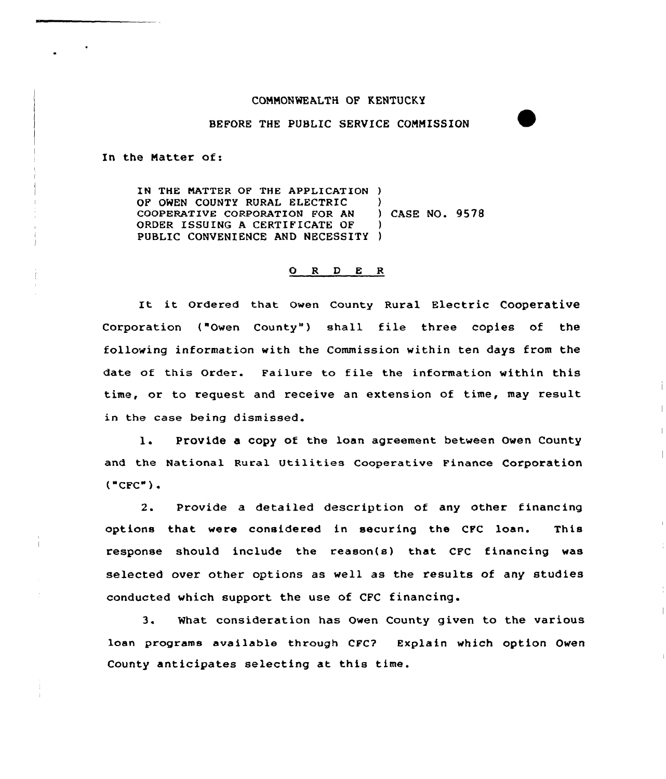## COMMONWEALTH QF KENTUCKY

## BEFORE THE PUBLIC SERVICE COMMISSION

In the Natter of:

IN THE NATTER OF THE APPLICATION ) OF OWEN COUNTY RURAL ELECTRIC )<br>
COOPERATIVE CORPORATION FOR AN ) CASE NO. 9578 COOPERATIVE CORPORATION FOR AN ORDER ISSUING A CERTIFICATE DF ) PUBLIC CONVENIENCE AND NECESSITY )

## 0 <sup>R</sup> <sup>D</sup> E <sup>R</sup>

It it Ordered that Owen County Rural Electric Cooperative Corporation ("Owen County") shall file three copies of the following information with the Commission within ten days from the date of this Order. Failure to file the information within this time, or to request and receive an extension of time, may result in the case being dismissed.

1. Provide a copy of the loan agreement between Owen County and the National Rural Utilities Cooperative Finance Corporation  $("CFC")$ .

2. Provide a detailed description of any other financing options that were considered in securing the CFC loan. This response should include the reason(s) that CFC financing was selected over other options as well as the results of any studies conducted which support the use of CFC financing.

3. What consideration has Owen County given to the various loan programs available through CFC? Explain which option Owen County anticipates selecting at this time.